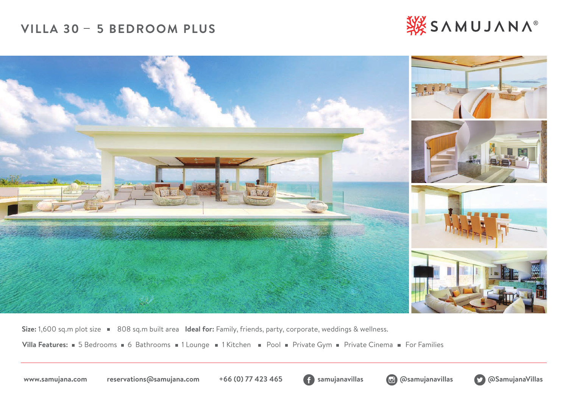# VILLA 30 - 5 BEDROOM PLUS





Size: 1,600 sq.m plot size **808 sq.m built area Ideal for:** Family, friends, party, corporate, weddings & wellness.

Villa Features: 5 Bedrooms 6 Bathrooms 1 Lounge 1 Kitchen Pool Private Gym Private Cinema For Families





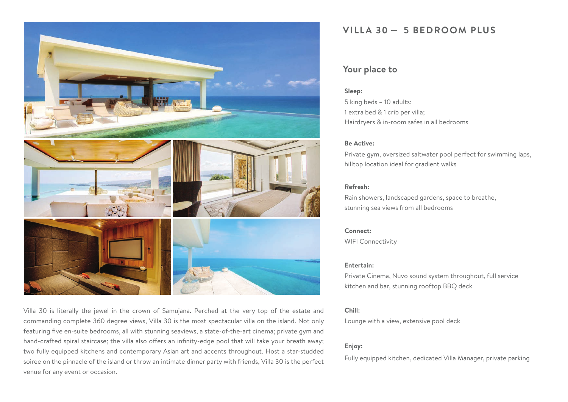



Villa 30 is literally the jewel in the crown of Samujana. Perched at the very top of the estate and commanding complete 360 degree views, Villa 30 is the most spectacular villa on the island. Not only featuring five en-suite bedrooms, all with stunning seaviews, a state-of-the-art cinema; private gym and hand-crafted spiral staircase; the villa also offers an infinity-edge pool that will take your breath away; two fully equipped kitchens and contemporary Asian art and accents throughout. Host a star-studded soiree on the pinnacle of the island or throw an intimate dinner party with friends, Villa 30 is the perfect venue for any event or occasion.

### VILLA 30 - 5 BEDROOM PLUS

### **Your place to**

### **Sleep:**

5 king beds – 10 adults; 1 extra bed & 1 crib per villa; Hairdryers & in-room safes in all bedrooms

### **Be Active:**

Private gym, oversized saltwater pool perfect for swimming laps, hilltop location ideal for gradient walks

### **Refresh:**

Rain showers, landscaped gardens, space to breathe, stunning sea views from all bedrooms

### **Connect:**

WIFI Connectivity

### **Entertain:**

Private Cinema, Nuvo sound system throughout, full service kitchen and bar, stunning rooftop BBQ deck

### **Chill:**

Lounge with a view, extensive pool deck

### **Enjoy:**

Fully equipped kitchen, dedicated Villa Manager, private parking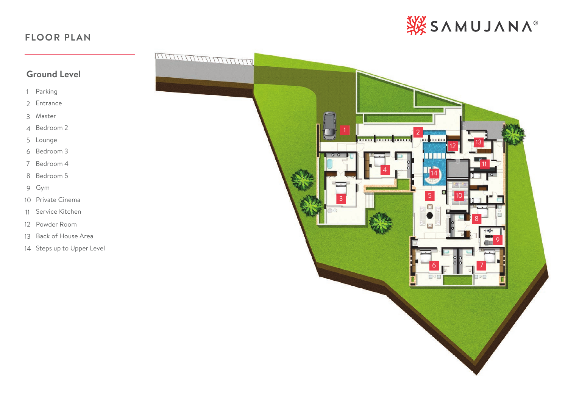## **FLOOR PLAN**



### **Ground Level**

- Parking
- Entrance
- Master
- Bedroom 2
- Lounge
- Bedroom 3
- Bedroom 4
- Bedroom 5
- Gym
- Private Cinema
- Service Kitchen
- Powder Room
- Back of House Area
- Steps up to Upper Level

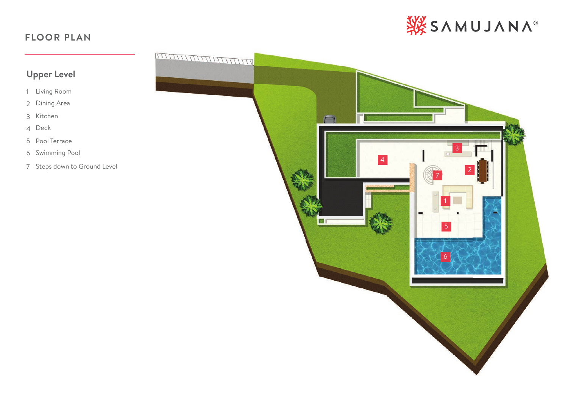## **FLOOR PLAN**



## **Upper Level**

- Living Room
- Dining Area
- Kitchen
- Deck
- Pool Terrace
- Swimming Pool
- Steps down to Ground Level